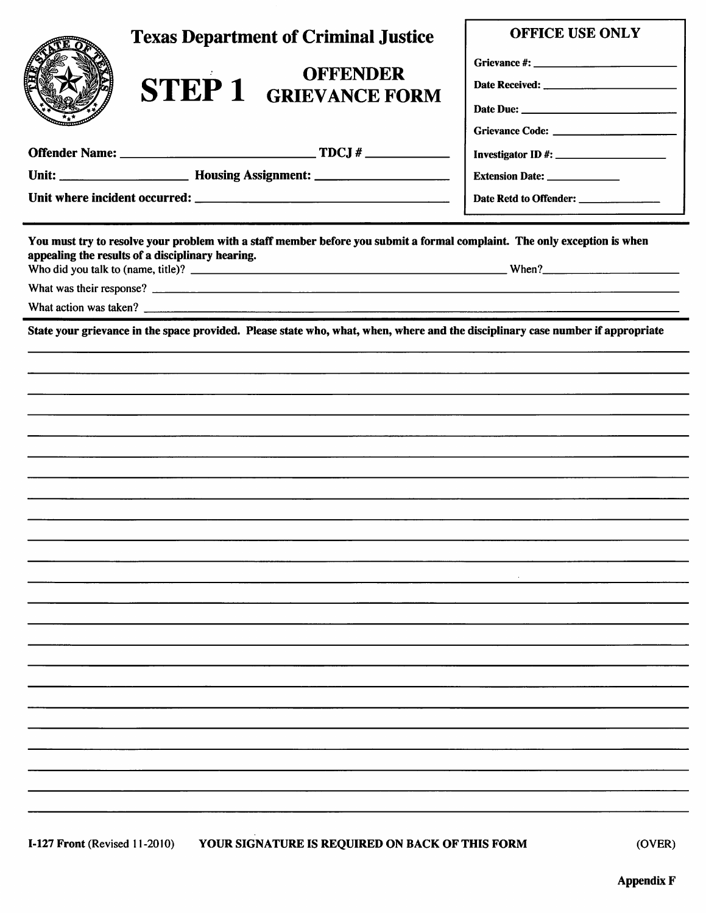| <b>Texas Department of Criminal Justice</b><br><b>OFFENDER</b><br><b>STEP 1 GRIEVANCE FORM</b>                                                                                                          | OFFICE USE ONLY<br>Extension Date: _______________<br>Date Retd to Offender: |  |
|---------------------------------------------------------------------------------------------------------------------------------------------------------------------------------------------------------|------------------------------------------------------------------------------|--|
| You must try to resolve your problem with a staff member before you submit a formal complaint. The only exception is when<br>appealing the results of a disciplinary hearing.<br>What action was taken? |                                                                              |  |
| State your grievance in the space provided. Please state who, what, when, where and the disciplinary case number if appropriate                                                                         |                                                                              |  |
|                                                                                                                                                                                                         |                                                                              |  |